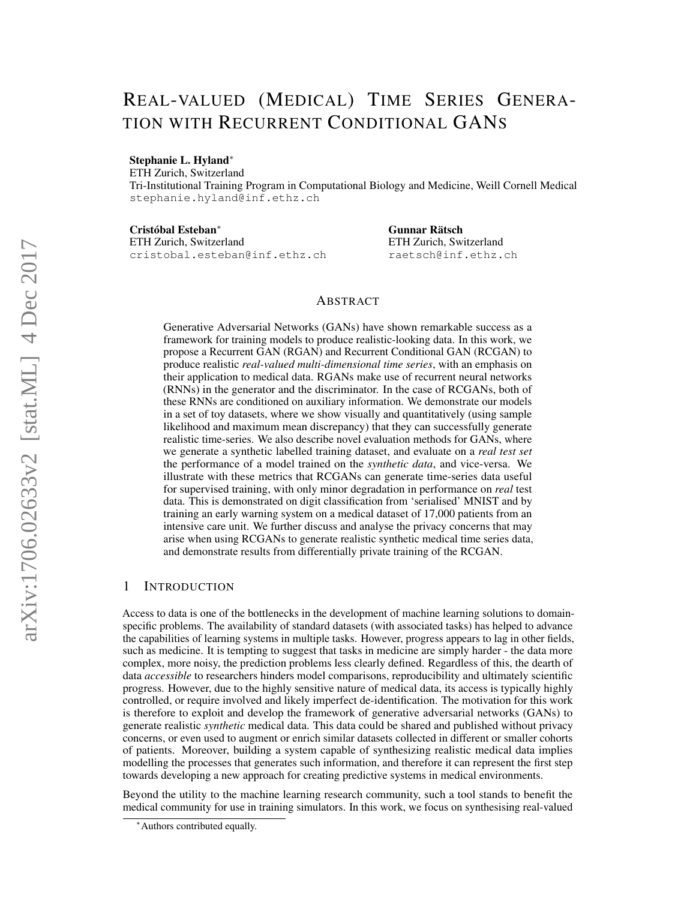# REAL-VALUED (MEDICAL) TIME SERIES GENERA-TION WITH RECURRENT CONDITIONAL GANS

#### Stephanie L. Hyland<sup>∗</sup>

ETH Zurich, Switzerland

Tri-Institutional Training Program in Computational Biology and Medicine, Weill Cornell Medical stephanie.hyland@inf.ethz.ch

Cristóbal Esteban<sup>∗</sup>

ETH Zurich, Switzerland cristobal.esteban@inf.ethz.ch Gunnar Rätsch ETH Zurich, Switzerland raetsch@inf.ethz.ch

## ABSTRACT

Generative Adversarial Networks (GANs) have shown remarkable success as a framework for training models to produce realistic-looking data. In this work, we propose a Recurrent GAN (RGAN) and Recurrent Conditional GAN (RCGAN) to produce realistic *real-valued multi-dimensional time series*, with an emphasis on their application to medical data. RGANs make use of recurrent neural networks (RNNs) in the generator and the discriminator. In the case of RCGANs, both of these RNNs are conditioned on auxiliary information. We demonstrate our models in a set of toy datasets, where we show visually and quantitatively (using sample likelihood and maximum mean discrepancy) that they can successfully generate realistic time-series. We also describe novel evaluation methods for GANs, where we generate a synthetic labelled training dataset, and evaluate on a *real test set* the performance of a model trained on the *synthetic data*, and vice-versa. We illustrate with these metrics that RCGANs can generate time-series data useful for supervised training, with only minor degradation in performance on *real* test data. This is demonstrated on digit classification from 'serialised' MNIST and by training an early warning system on a medical dataset of 17,000 patients from an intensive care unit. We further discuss and analyse the privacy concerns that may arise when using RCGANs to generate realistic synthetic medical time series data, and demonstrate results from differentially private training of the RCGAN.

## 1 INTRODUCTION

Access to data is one of the bottlenecks in the development of machine learning solutions to domainspecific problems. The availability of standard datasets (with associated tasks) has helped to advance the capabilities of learning systems in multiple tasks. However, progress appears to lag in other fields, such as medicine. It is tempting to suggest that tasks in medicine are simply harder - the data more complex, more noisy, the prediction problems less clearly defined. Regardless of this, the dearth of data *accessible* to researchers hinders model comparisons, reproducibility and ultimately scientific progress. However, due to the highly sensitive nature of medical data, its access is typically highly controlled, or require involved and likely imperfect de-identification. The motivation for this work is therefore to exploit and develop the framework of generative adversarial networks (GANs) to generate realistic *synthetic* medical data. This data could be shared and published without privacy concerns, or even used to augment or enrich similar datasets collected in different or smaller cohorts of patients. Moreover, building a system capable of synthesizing realistic medical data implies modelling the processes that generates such information, and therefore it can represent the first step towards developing a new approach for creating predictive systems in medical environments.

Beyond the utility to the machine learning research community, such a tool stands to benefit the medical community for use in training simulators. In this work, we focus on synthesising real-valued

<sup>∗</sup>Authors contributed equally.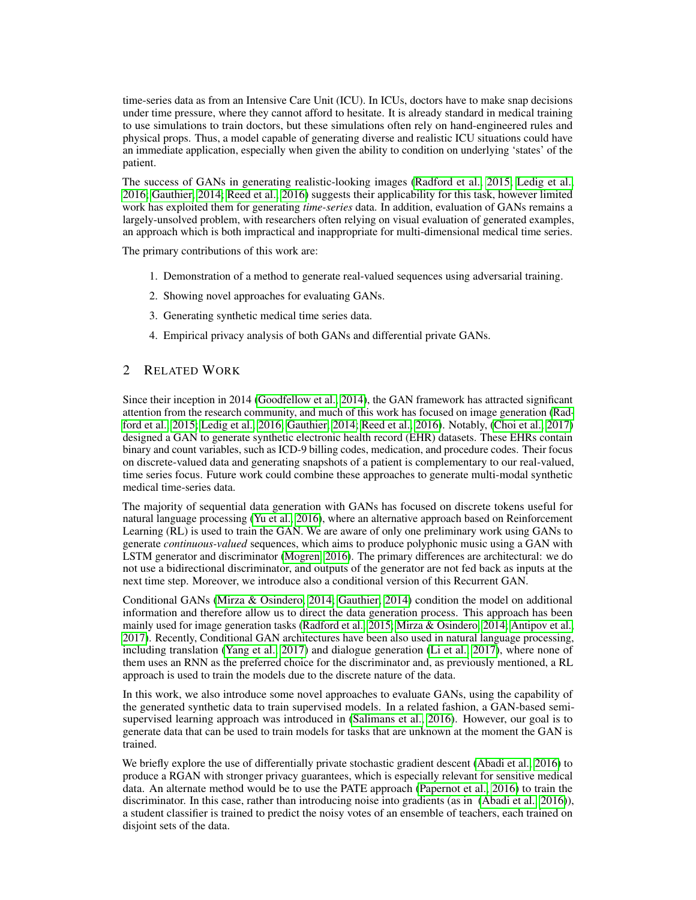time-series data as from an Intensive Care Unit (ICU). In ICUs, doctors have to make snap decisions under time pressure, where they cannot afford to hesitate. It is already standard in medical training to use simulations to train doctors, but these simulations often rely on hand-engineered rules and physical props. Thus, a model capable of generating diverse and realistic ICU situations could have an immediate application, especially when given the ability to condition on underlying 'states' of the patient.

The success of GANs in generating realistic-looking images [\(Radford et al., 2015;](#page-12-0) [Ledig et al.,](#page-11-0) [2016;](#page-11-0) [Gauthier, 2014;](#page-11-1) [Reed et al., 2016\)](#page-12-1) suggests their applicability for this task, however limited work has exploited them for generating *time-series* data. In addition, evaluation of GANs remains a largely-unsolved problem, with researchers often relying on visual evaluation of generated examples, an approach which is both impractical and inappropriate for multi-dimensional medical time series.

The primary contributions of this work are:

- 1. Demonstration of a method to generate real-valued sequences using adversarial training.
- 2. Showing novel approaches for evaluating GANs.
- 3. Generating synthetic medical time series data.
- 4. Empirical privacy analysis of both GANs and differential private GANs.

# 2 RELATED WORK

Since their inception in 2014 [\(Goodfellow et al., 2014\)](#page-11-2), the GAN framework has attracted significant attention from the research community, and much of this work has focused on image generation [\(Rad](#page-12-0)[ford et al., 2015;](#page-12-0) [Ledig et al., 2016;](#page-11-0) [Gauthier, 2014;](#page-11-1) [Reed et al., 2016\)](#page-12-1). Notably, [\(Choi et al., 2017\)](#page-11-3) designed a GAN to generate synthetic electronic health record (EHR) datasets. These EHRs contain binary and count variables, such as ICD-9 billing codes, medication, and procedure codes. Their focus on discrete-valued data and generating snapshots of a patient is complementary to our real-valued, time series focus. Future work could combine these approaches to generate multi-modal synthetic medical time-series data.

The majority of sequential data generation with GANs has focused on discrete tokens useful for natural language processing [\(Yu et al., 2016\)](#page-12-2), where an alternative approach based on Reinforcement Learning (RL) is used to train the GAN. We are aware of only one preliminary work using GANs to generate *continuous-valued* sequences, which aims to produce polyphonic music using a GAN with LSTM generator and discriminator [\(Mogren, 2016\)](#page-11-4). The primary differences are architectural: we do not use a bidirectional discriminator, and outputs of the generator are not fed back as inputs at the next time step. Moreover, we introduce also a conditional version of this Recurrent GAN.

Conditional GANs [\(Mirza & Osindero, 2014;](#page-11-5) [Gauthier, 2014\)](#page-11-1) condition the model on additional information and therefore allow us to direct the data generation process. This approach has been mainly used for image generation tasks [\(Radford et al., 2015;](#page-12-0) [Mirza & Osindero, 2014;](#page-11-5) [Antipov et al.,](#page-10-0) [2017\)](#page-10-0). Recently, Conditional GAN architectures have been also used in natural language processing, including translation [\(Yang et al., 2017\)](#page-12-3) and dialogue generation [\(Li et al., 2017\)](#page-11-6), where none of them uses an RNN as the preferred choice for the discriminator and, as previously mentioned, a RL approach is used to train the models due to the discrete nature of the data.

In this work, we also introduce some novel approaches to evaluate GANs, using the capability of the generated synthetic data to train supervised models. In a related fashion, a GAN-based semisupervised learning approach was introduced in [\(Salimans et al., 2016\)](#page-12-4). However, our goal is to generate data that can be used to train models for tasks that are unknown at the moment the GAN is trained.

We briefly explore the use of differentially private stochastic gradient descent [\(Abadi et al., 2016\)](#page-10-1) to produce a RGAN with stronger privacy guarantees, which is especially relevant for sensitive medical data. An alternate method would be to use the PATE approach [\(Papernot et al., 2016\)](#page-11-7) to train the discriminator. In this case, rather than introducing noise into gradients (as in [\(Abadi et al., 2016\)](#page-10-1)), a student classifier is trained to predict the noisy votes of an ensemble of teachers, each trained on disjoint sets of the data.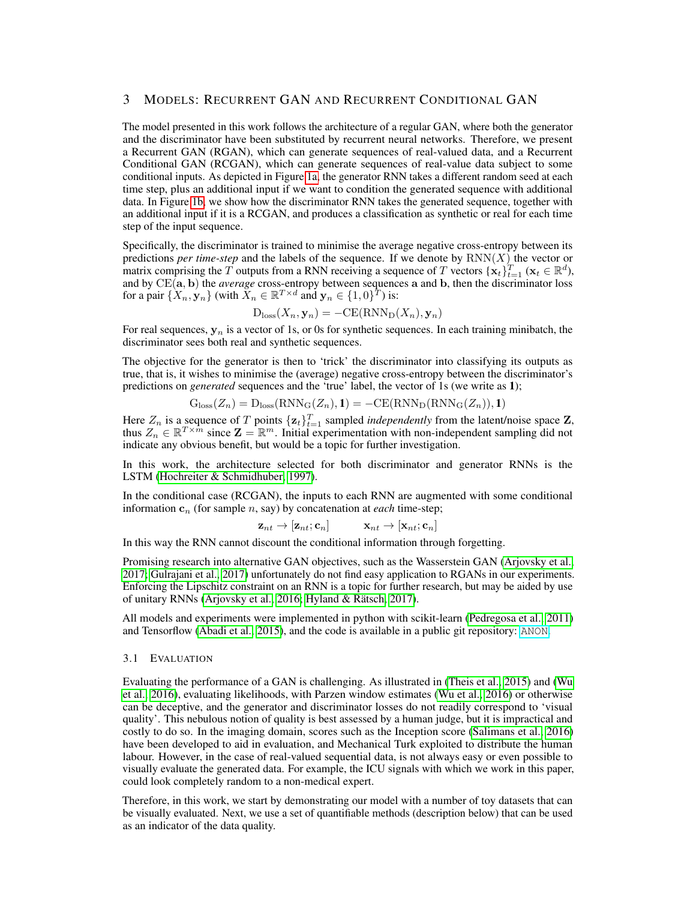# 3 MODELS: RECURRENT GAN AND RECURRENT CONDITIONAL GAN

The model presented in this work follows the architecture of a regular GAN, where both the generator and the discriminator have been substituted by recurrent neural networks. Therefore, we present a Recurrent GAN (RGAN), which can generate sequences of real-valued data, and a Recurrent Conditional GAN (RCGAN), which can generate sequences of real-value data subject to some conditional inputs. As depicted in Figure [1a,](#page-3-0) the generator RNN takes a different random seed at each time step, plus an additional input if we want to condition the generated sequence with additional data. In Figure [1b,](#page-3-0) we show how the discriminator RNN takes the generated sequence, together with an additional input if it is a RCGAN, and produces a classification as synthetic or real for each time step of the input sequence.

Specifically, the discriminator is trained to minimise the average negative cross-entropy between its predictions *per time-step* and the labels of the sequence. If we denote by  $RNN(X)$  the vector or matrix comprising the T outputs from a RNN receiving a sequence of T vectors  $\{\mathbf x_t\}_{t=1}^T$  ( $\mathbf x_t \in \mathbb{R}^d$ ), and by CE(a, b) the *average* cross-entropy between sequences a and b, then the discriminator loss for a pair  $\{X_n, \mathbf{y}_n\}$  (with  $X_n \in \mathbb{R}^{T \times d}$  and  $\mathbf{y}_n \in \{1, 0\}^T$ ) is:

$$
D_{\text{loss}}(X_n, \mathbf{y}_n) = -\text{CE}(\text{RNN}_D(X_n), \mathbf{y}_n)
$$

For real sequences,  $y_n$  is a vector of 1s, or 0s for synthetic sequences. In each training minibatch, the discriminator sees both real and synthetic sequences.

The objective for the generator is then to 'trick' the discriminator into classifying its outputs as true, that is, it wishes to minimise the (average) negative cross-entropy between the discriminator's predictions on *generated* sequences and the 'true' label, the vector of 1s (we write as 1);

$$
Gloss(Zn) = Dloss(RNNG(Zn), 1) = -CE(RNND(RNNG(Zn)), 1)
$$

Here  $Z_n$  is a sequence of T points  $\{z_t\}_{t=1}^T$  sampled *independently* from the latent/noise space Z, thus  $Z_n \in \mathbb{R}^{T \times m}$  since  $\mathbf{Z} = \mathbb{R}^m$ . Initial experimentation with non-independent sampling did not indicate any obvious benefit, but would be a topic for further investigation.

In this work, the architecture selected for both discriminator and generator RNNs is the LSTM [\(Hochreiter & Schmidhuber, 1997\)](#page-11-8).

In the conditional case (RCGAN), the inputs to each RNN are augmented with some conditional information  $c_n$  (for sample *n*, say) by concatenation at *each* time-step;

$$
\mathbf{z}_{nt} \rightarrow [\mathbf{z}_{nt}; \mathbf{c}_n] \qquad \mathbf{x}_{nt} \rightarrow [\mathbf{x}_{nt}; \mathbf{c}_n]
$$

In this way the RNN cannot discount the conditional information through forgetting.

Promising research into alternative GAN objectives, such as the Wasserstein GAN [\(Arjovsky et al.,](#page-10-2) [2017;](#page-10-2) [Gulrajani et al., 2017\)](#page-11-9) unfortunately do not find easy application to RGANs in our experiments. Enforcing the Lipschitz constraint on an RNN is a topic for further research, but may be aided by use of unitary RNNs [\(Arjovsky et al., 2016;](#page-10-3) [Hyland & Rätsch, 2017\)](#page-11-10).

All models and experiments were implemented in python with scikit-learn [\(Pedregosa et al., 2011\)](#page-11-11) and Tensorflow [\(Abadi et al., 2015\)](#page-10-4), and the code is available in a public git repository: <ANON>.

#### 3.1 EVALUATION

Evaluating the performance of a GAN is challenging. As illustrated in [\(Theis et al., 2015\)](#page-12-5) and [\(Wu](#page-12-6) [et al., 2016\)](#page-12-6), evaluating likelihoods, with Parzen window estimates [\(Wu et al., 2016\)](#page-12-6) or otherwise can be deceptive, and the generator and discriminator losses do not readily correspond to 'visual quality'. This nebulous notion of quality is best assessed by a human judge, but it is impractical and costly to do so. In the imaging domain, scores such as the Inception score [\(Salimans et al., 2016\)](#page-12-4) have been developed to aid in evaluation, and Mechanical Turk exploited to distribute the human labour. However, in the case of real-valued sequential data, is not always easy or even possible to visually evaluate the generated data. For example, the ICU signals with which we work in this paper, could look completely random to a non-medical expert.

Therefore, in this work, we start by demonstrating our model with a number of toy datasets that can be visually evaluated. Next, we use a set of quantifiable methods (description below) that can be used as an indicator of the data quality.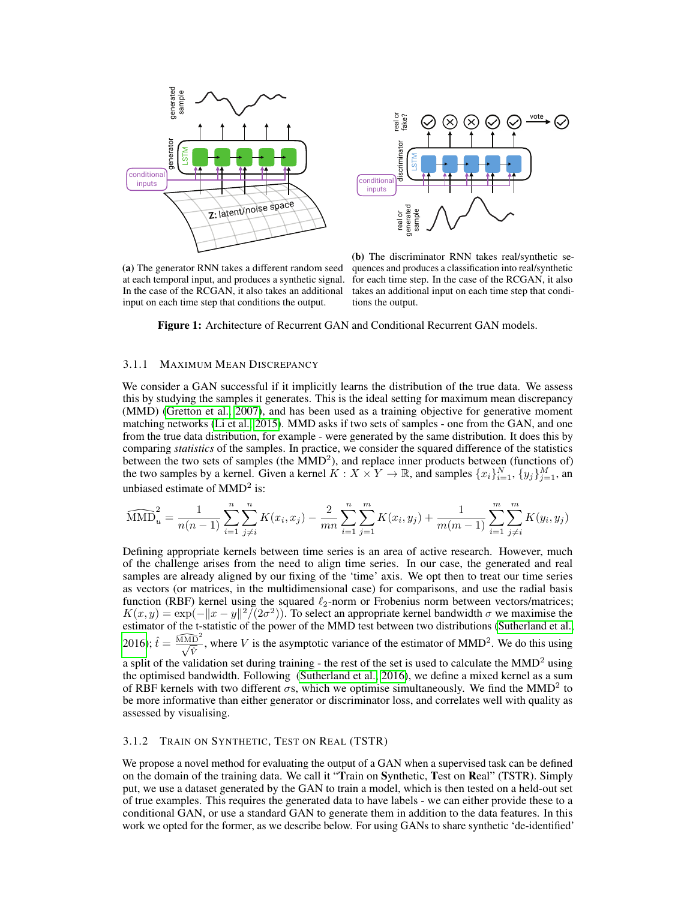<span id="page-3-0"></span>



(a) The generator RNN takes a different random seed at each temporal input, and produces a synthetic signal. In the case of the RCGAN, it also takes an additional

(b) The discriminator RNN takes real/synthetic sequences and produces a classification into real/synthetic for each time step. In the case of the RCGAN, it also takes an additional input on each time step that conditions the output.

Figure 1: Architecture of Recurrent GAN and Conditional Recurrent GAN models.

### <span id="page-3-1"></span>3.1.1 MAXIMUM MEAN DISCREPANCY

We consider a GAN successful if it implicitly learns the distribution of the true data. We assess this by studying the samples it generates. This is the ideal setting for maximum mean discrepancy (MMD) [\(Gretton et al., 2007\)](#page-11-12), and has been used as a training objective for generative moment matching networks [\(Li et al., 2015\)](#page-11-13). MMD asks if two sets of samples - one from the GAN, and one from the true data distribution, for example - were generated by the same distribution. It does this by comparing *statistics* of the samples. In practice, we consider the squared difference of the statistics between the two sets of samples (the  $MMD<sup>2</sup>$ ), and replace inner products between (functions of) the two samples by a kernel. Given a kernel  $K: X \times Y \to \mathbb{R}$ , and samples  $\{x_i\}_{i=1}^N$ ,  $\{y_j\}_{j=1}^M$ , and unbiased estimate of  $MMD<sup>2</sup>$  is:

$$
\widehat{\text{MMD}}_u^2 = \frac{1}{n(n-1)} \sum_{i=1}^n \sum_{j \neq i}^n K(x_i, x_j) - \frac{2}{mn} \sum_{i=1}^n \sum_{j=1}^m K(x_i, y_j) + \frac{1}{m(m-1)} \sum_{i=1}^m \sum_{j \neq i}^m K(y_i, y_j)
$$

Defining appropriate kernels between time series is an area of active research. However, much of the challenge arises from the need to align time series. In our case, the generated and real samples are already aligned by our fixing of the 'time' axis. We opt then to treat our time series as vectors (or matrices, in the multidimensional case) for comparisons, and use the radial basis function (RBF) kernel using the squared  $\ell_2$ -norm or Frobenius norm between vectors/matrices;  $K(x, y) = \exp(-\|x - y\|^2)(2\sigma^2)$ . To select an appropriate kernel bandwidth  $\sigma$  we maximise the estimator of the t-statistic of the power of the MMD test between two distributions [\(Sutherland et al.,](#page-12-7) [2016\)](#page-12-7);  $\hat{t} = \frac{\widehat{\text{MMD}}^2}{\sqrt{\hat{V}}}$ , where V is the asymptotic variance of the estimator of MMD<sup>2</sup>. We do this using

a split of the validation set during training - the rest of the set is used to calculate the  $MMD<sup>2</sup>$  using the optimised bandwidth. Following [\(Sutherland et al., 2016\)](#page-12-7), we define a mixed kernel as a sum of RBF kernels with two different  $\sigma s$ , which we optimise simultaneously. We find the MMD<sup>2</sup> to be more informative than either generator or discriminator loss, and correlates well with quality as assessed by visualising.

## 3.1.2 TRAIN ON SYNTHETIC, TEST ON REAL (TSTR)

We propose a novel method for evaluating the output of a GAN when a supervised task can be defined on the domain of the training data. We call it "Train on Synthetic, Test on Real" (TSTR). Simply put, we use a dataset generated by the GAN to train a model, which is then tested on a held-out set of true examples. This requires the generated data to have labels - we can either provide these to a conditional GAN, or use a standard GAN to generate them in addition to the data features. In this work we opted for the former, as we describe below. For using GANs to share synthetic 'de-identified'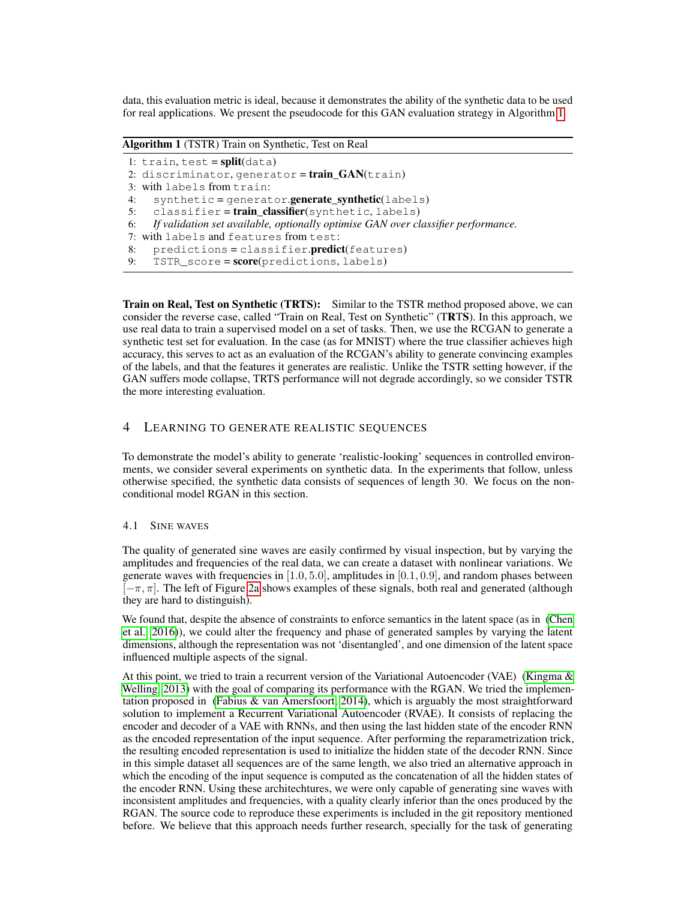data, this evaluation metric is ideal, because it demonstrates the ability of the synthetic data to be used for real applications. We present the pseudocode for this GAN evaluation strategy in Algorithm [1.](#page-4-0)

<span id="page-4-0"></span>Algorithm 1 (TSTR) Train on Synthetic, Test on Real

1:  $train, test = split(data)$ 2: discriminator,  $q$ enerator =  $train_GAN$ (train) 3: with labels from train: 4: synthetic = generator.generate\_synthetic(labels) 5: classifier=train\_classifier(synthetic, labels) 6: *If validation set available, optionally optimise GAN over classifier performance.* 7: with labels and features from test: 8:  $predictions = classifier.predict(features)$ 

9:  $TSTR\_score = score(predictions, labels)$ 

Train on Real, Test on Synthetic (TRTS): Similar to the TSTR method proposed above, we can consider the reverse case, called "Train on Real, Test on Synthetic" (TRTS). In this approach, we use real data to train a supervised model on a set of tasks. Then, we use the RCGAN to generate a synthetic test set for evaluation. In the case (as for MNIST) where the true classifier achieves high accuracy, this serves to act as an evaluation of the RCGAN's ability to generate convincing examples of the labels, and that the features it generates are realistic. Unlike the TSTR setting however, if the GAN suffers mode collapse, TRTS performance will not degrade accordingly, so we consider TSTR the more interesting evaluation.

## <span id="page-4-1"></span>4 LEARNING TO GENERATE REALISTIC SEQUENCES

To demonstrate the model's ability to generate 'realistic-looking' sequences in controlled environments, we consider several experiments on synthetic data. In the experiments that follow, unless otherwise specified, the synthetic data consists of sequences of length 30. We focus on the nonconditional model RGAN in this section.

## 4.1 SINE WAVES

The quality of generated sine waves are easily confirmed by visual inspection, but by varying the amplitudes and frequencies of the real data, we can create a dataset with nonlinear variations. We generate waves with frequencies in  $[1.0, 5.0]$ , amplitudes in  $[0.1, 0.9]$ , and random phases between  $[-\pi, \pi]$ . The left of Figure [2a](#page-5-0) shows examples of these signals, both real and generated (although they are hard to distinguish).

We found that, despite the absence of constraints to enforce semantics in the latent space (as in [\(Chen](#page-10-5) [et al., 2016\)](#page-10-5)), we could alter the frequency and phase of generated samples by varying the latent dimensions, although the representation was not 'disentangled', and one dimension of the latent space influenced multiple aspects of the signal.

At this point, we tried to train a recurrent version of the Variational Autoencoder (VAE) (Kingma  $\&$ [Welling, 2013\)](#page-11-14) with the goal of comparing its performance with the RGAN. We tried the implementation proposed in [\(Fabius & van Amersfoort, 2014\)](#page-11-15), which is arguably the most straightforward solution to implement a Recurrent Variational Autoencoder (RVAE). It consists of replacing the encoder and decoder of a VAE with RNNs, and then using the last hidden state of the encoder RNN as the encoded representation of the input sequence. After performing the reparametrization trick, the resulting encoded representation is used to initialize the hidden state of the decoder RNN. Since in this simple dataset all sequences are of the same length, we also tried an alternative approach in which the encoding of the input sequence is computed as the concatenation of all the hidden states of the encoder RNN. Using these architechtures, we were only capable of generating sine waves with inconsistent amplitudes and frequencies, with a quality clearly inferior than the ones produced by the RGAN. The source code to reproduce these experiments is included in the git repository mentioned before. We believe that this approach needs further research, specially for the task of generating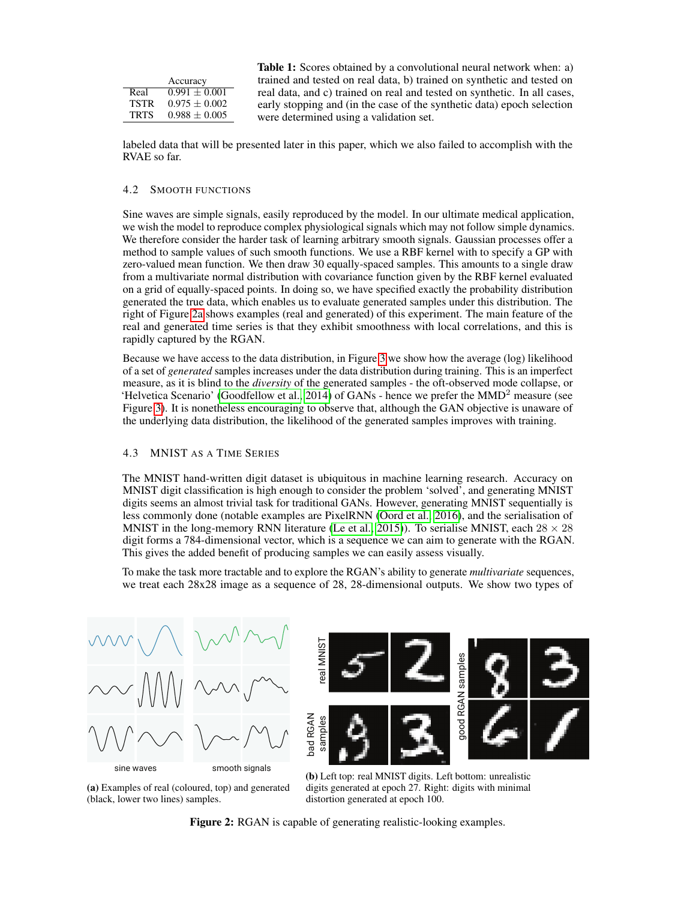<span id="page-5-1"></span>

|             |                   | <b>Table 1:</b> Scores obtained by a convolutional neural network when: a) |  |  |  |  |  |
|-------------|-------------------|----------------------------------------------------------------------------|--|--|--|--|--|
|             | Accuracy          | trained and tested on real data, b) trained on synthetic and tested on     |  |  |  |  |  |
| Real        | $0.991 + 0.001$   | real data, and c) trained on real and tested on synthetic. In all cases,   |  |  |  |  |  |
| <b>TSTR</b> | $0.975 \pm 0.002$ | early stopping and (in the case of the synthetic data) epoch selection     |  |  |  |  |  |
| <b>TRTS</b> | $0.988 \pm 0.005$ | were determined using a validation set.                                    |  |  |  |  |  |
|             |                   |                                                                            |  |  |  |  |  |

labeled data that will be presented later in this paper, which we also failed to accomplish with the RVAE so far.

#### 4.2 SMOOTH FUNCTIONS

Sine waves are simple signals, easily reproduced by the model. In our ultimate medical application, we wish the model to reproduce complex physiological signals which may not follow simple dynamics. We therefore consider the harder task of learning arbitrary smooth signals. Gaussian processes offer a method to sample values of such smooth functions. We use a RBF kernel with to specify a GP with zero-valued mean function. We then draw 30 equally-spaced samples. This amounts to a single draw from a multivariate normal distribution with covariance function given by the RBF kernel evaluated on a grid of equally-spaced points. In doing so, we have specified exactly the probability distribution generated the true data, which enables us to evaluate generated samples under this distribution. The right of Figure [2a](#page-5-0) shows examples (real and generated) of this experiment. The main feature of the real and generated time series is that they exhibit smoothness with local correlations, and this is rapidly captured by the RGAN.

Because we have access to the data distribution, in Figure [3](#page-6-0) we show how the average (log) likelihood of a set of *generated* samples increases under the data distribution during training. This is an imperfect measure, as it is blind to the *diversity* of the generated samples - the oft-observed mode collapse, or 'Helvetica Scenario' [\(Goodfellow et al., 2014\)](#page-11-2) of GANs - hence we prefer the MMD<sup>2</sup> measure (see Figure [3\)](#page-6-0). It is nonetheless encouraging to observe that, although the GAN objective is unaware of the underlying data distribution, the likelihood of the generated samples improves with training.

#### <span id="page-5-2"></span>4.3 MNIST AS A TIME SERIES

The MNIST hand-written digit dataset is ubiquitous in machine learning research. Accuracy on MNIST digit classification is high enough to consider the problem 'solved', and generating MNIST digits seems an almost trivial task for traditional GANs. However, generating MNIST sequentially is less commonly done (notable examples are PixelRNN [\(Oord et al., 2016\)](#page-11-16), and the serialisation of MNIST in the long-memory RNN literature [\(Le et al., 2015\)](#page-11-17)). To serialise MNIST, each  $28 \times 28$ digit forms a 784-dimensional vector, which is a sequence we can aim to generate with the RGAN. This gives the added benefit of producing samples we can easily assess visually.

To make the task more tractable and to explore the RGAN's ability to generate *multivariate* sequences, we treat each 28x28 image as a sequence of 28, 28-dimensional outputs. We show two types of

<span id="page-5-0"></span>



(a) Examples of real (coloured, top) and generated (black, lower two lines) samples.

(b) Left top: real MNIST digits. Left bottom: unrealistic digits generated at epoch 27. Right: digits with minimal distortion generated at epoch 100.

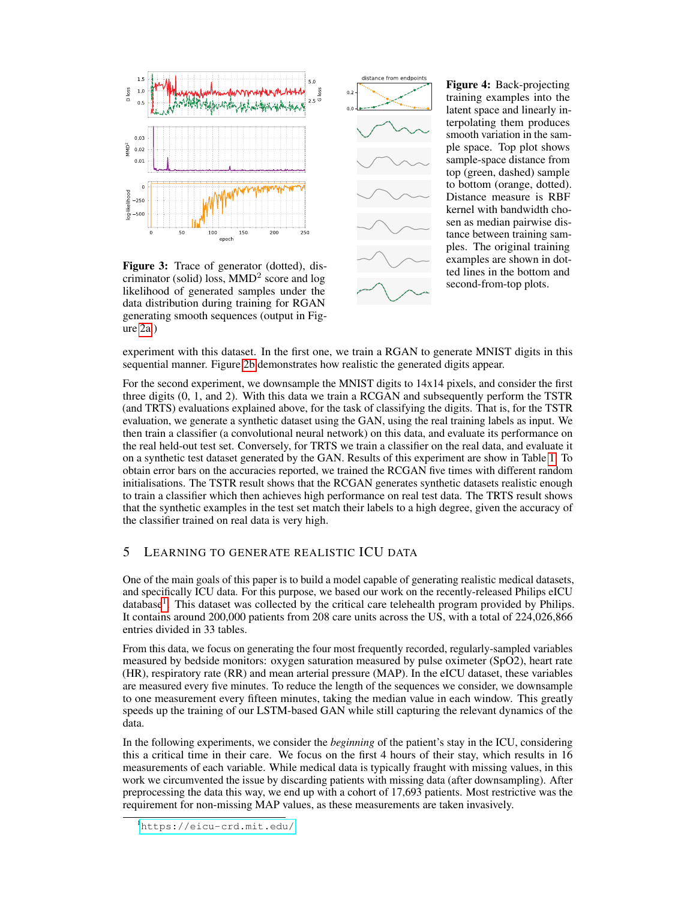<span id="page-6-0"></span>

Figure 3: Trace of generator (dotted), discriminator (solid) loss, MMD<sup>2</sup> score and log likelihood of generated samples under the data distribution during training for RGAN generating smooth sequences (output in Figure [2a.](#page-5-0))



Figure 4: Back-projecting training examples into the latent space and linearly interpolating them produces smooth variation in the sample space. Top plot shows sample-space distance from top (green, dashed) sample to bottom (orange, dotted). Distance measure is RBF kernel with bandwidth chosen as median pairwise distance between training samples. The original training examples are shown in dotted lines in the bottom and second-from-top plots.

experiment with this dataset. In the first one, we train a RGAN to generate MNIST digits in this sequential manner. Figure [2b](#page-5-0) demonstrates how realistic the generated digits appear.

For the second experiment, we downsample the MNIST digits to 14x14 pixels, and consider the first three digits (0, 1, and 2). With this data we train a RCGAN and subsequently perform the TSTR (and TRTS) evaluations explained above, for the task of classifying the digits. That is, for the TSTR evaluation, we generate a synthetic dataset using the GAN, using the real training labels as input. We then train a classifier (a convolutional neural network) on this data, and evaluate its performance on the real held-out test set. Conversely, for TRTS we train a classifier on the real data, and evaluate it on a synthetic test dataset generated by the GAN. Results of this experiment are show in Table [1.](#page-5-1) To obtain error bars on the accuracies reported, we trained the RCGAN five times with different random initialisations. The TSTR result shows that the RCGAN generates synthetic datasets realistic enough to train a classifier which then achieves high performance on real test data. The TRTS result shows that the synthetic examples in the test set match their labels to a high degree, given the accuracy of the classifier trained on real data is very high.

# 5 LEARNING TO GENERATE REALISTIC ICU DATA

One of the main goals of this paper is to build a model capable of generating realistic medical datasets, and specifically ICU data. For this purpose, we based our work on the recently-released Philips eICU database<sup>[1](#page-6-1)</sup>. This dataset was collected by the critical care telehealth program provided by Philips. It contains around 200,000 patients from 208 care units across the US, with a total of 224,026,866 entries divided in 33 tables.

From this data, we focus on generating the four most frequently recorded, regularly-sampled variables measured by bedside monitors: oxygen saturation measured by pulse oximeter (SpO2), heart rate (HR), respiratory rate (RR) and mean arterial pressure (MAP). In the eICU dataset, these variables are measured every five minutes. To reduce the length of the sequences we consider, we downsample to one measurement every fifteen minutes, taking the median value in each window. This greatly speeds up the training of our LSTM-based GAN while still capturing the relevant dynamics of the data.

In the following experiments, we consider the *beginning* of the patient's stay in the ICU, considering this a critical time in their care. We focus on the first 4 hours of their stay, which results in 16 measurements of each variable. While medical data is typically fraught with missing values, in this work we circumvented the issue by discarding patients with missing data (after downsampling). After preprocessing the data this way, we end up with a cohort of 17,693 patients. Most restrictive was the requirement for non-missing MAP values, as these measurements are taken invasively.

<span id="page-6-1"></span><sup>1</sup><https://eicu-crd.mit.edu/>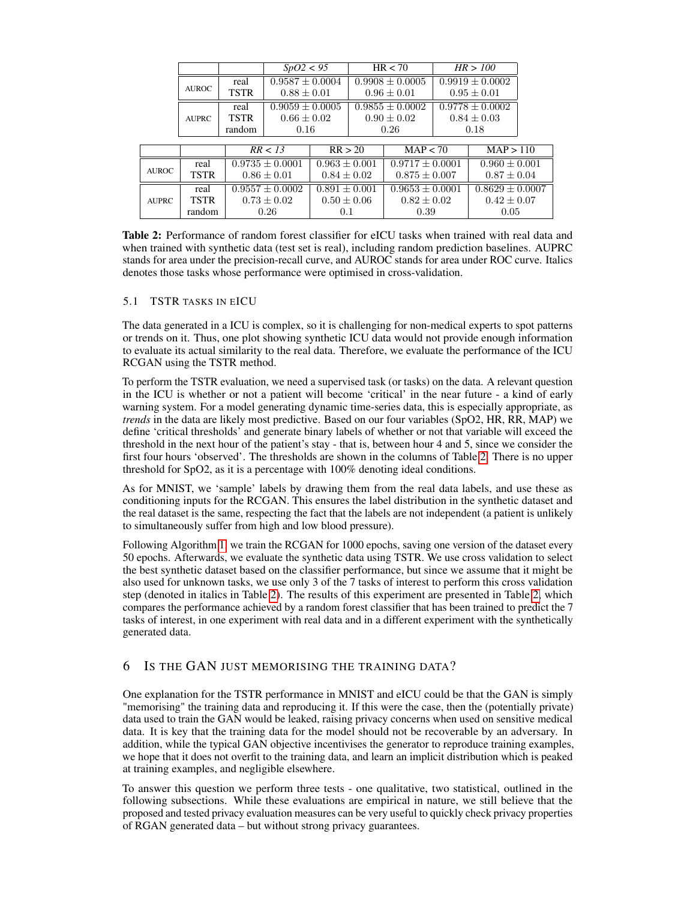<span id="page-7-0"></span>

|              |                      |         | SpO2 < 95           |         | HR < 70                                |                       | HR > 100                               |                     |                   |  |
|--------------|----------------------|---------|---------------------|---------|----------------------------------------|-----------------------|----------------------------------------|---------------------|-------------------|--|
|              |                      | real    | $0.9587 \pm 0.0004$ |         |                                        | $0.9908 \pm 0.0005$   |                                        | $0.9919 \pm 0.0002$ |                   |  |
|              | <b>AUROC</b>         | TSTR    | $0.88 \pm 0.01$     |         | $0.96 \pm 0.01$<br>$0.9855 \pm 0.0002$ |                       | $0.95 \pm 0.01$<br>$0.9778 \pm 0.0002$ |                     |                   |  |
|              |                      | real    | $0.9059 \pm 0.0005$ |         |                                        |                       |                                        |                     |                   |  |
|              | TSTR<br><b>AUPRC</b> |         | $0.66 \pm 0.02$     |         | $0.90 \pm 0.02$                        |                       | $0.84 \pm 0.03$                        |                     |                   |  |
|              |                      | random  | 0.16                |         |                                        | 0.26                  | 0.18                                   |                     |                   |  |
|              |                      | RR < 13 |                     | RR > 20 |                                        | $\overline{MAP}$ < 70 |                                        | MAP > 110           |                   |  |
|              |                      |         |                     |         |                                        |                       |                                        |                     |                   |  |
| <b>AUROC</b> | real                 |         | $0.9735 + 0.0001$   |         | $0.963 + 0.001$                        |                       | $0.9717 + 0.0001$                      |                     | $0.960 + 0.001$   |  |
|              | <b>TSTR</b>          |         | $0.86 \pm 0.01$     |         | $0.84 \pm 0.02$                        |                       | $0.875 \pm 0.007$                      |                     | $0.87 \pm 0.04$   |  |
|              | real                 |         | $0.9557 \pm 0.0002$ |         | $0.891 + 0.001$                        |                       | $0.9653 \pm 0.0001$                    |                     | $0.8629 + 0.0007$ |  |
| <b>AUPRC</b> | <b>TSTR</b>          |         | $0.73 \pm 0.02$     |         | $0.50 \pm 0.06$                        |                       | $0.82 \pm 0.02$                        |                     | $0.42 \pm 0.07$   |  |
|              | random               |         | 0.26                | 0.1     |                                        | 0.39                  |                                        | 0.05                |                   |  |

Table 2: Performance of random forest classifier for eICU tasks when trained with real data and when trained with synthetic data (test set is real), including random prediction baselines. AUPRC stands for area under the precision-recall curve, and AUROC stands for area under ROC curve. Italics denotes those tasks whose performance were optimised in cross-validation.

## <span id="page-7-1"></span>5.1 TSTR TASKS IN EICU

The data generated in a ICU is complex, so it is challenging for non-medical experts to spot patterns or trends on it. Thus, one plot showing synthetic ICU data would not provide enough information to evaluate its actual similarity to the real data. Therefore, we evaluate the performance of the ICU RCGAN using the TSTR method.

To perform the TSTR evaluation, we need a supervised task (or tasks) on the data. A relevant question in the ICU is whether or not a patient will become 'critical' in the near future - a kind of early warning system. For a model generating dynamic time-series data, this is especially appropriate, as *trends* in the data are likely most predictive. Based on our four variables (SpO2, HR, RR, MAP) we define 'critical thresholds' and generate binary labels of whether or not that variable will exceed the threshold in the next hour of the patient's stay - that is, between hour 4 and 5, since we consider the first four hours 'observed'. The thresholds are shown in the columns of Table [2.](#page-7-0) There is no upper threshold for SpO2, as it is a percentage with 100% denoting ideal conditions.

As for MNIST, we 'sample' labels by drawing them from the real data labels, and use these as conditioning inputs for the RCGAN. This ensures the label distribution in the synthetic dataset and the real dataset is the same, respecting the fact that the labels are not independent (a patient is unlikely to simultaneously suffer from high and low blood pressure).

Following Algorithm [1,](#page-4-0) we train the RCGAN for 1000 epochs, saving one version of the dataset every 50 epochs. Afterwards, we evaluate the synthetic data using TSTR. We use cross validation to select the best synthetic dataset based on the classifier performance, but since we assume that it might be also used for unknown tasks, we use only 3 of the 7 tasks of interest to perform this cross validation step (denoted in italics in Table [2\)](#page-7-0). The results of this experiment are presented in Table [2,](#page-7-0) which compares the performance achieved by a random forest classifier that has been trained to predict the 7 tasks of interest, in one experiment with real data and in a different experiment with the synthetically generated data.

# <span id="page-7-2"></span>6 IS THE GAN JUST MEMORISING THE TRAINING DATA?

One explanation for the TSTR performance in MNIST and eICU could be that the GAN is simply "memorising" the training data and reproducing it. If this were the case, then the (potentially private) data used to train the GAN would be leaked, raising privacy concerns when used on sensitive medical data. It is key that the training data for the model should not be recoverable by an adversary. In addition, while the typical GAN objective incentivises the generator to reproduce training examples, we hope that it does not overfit to the training data, and learn an implicit distribution which is peaked at training examples, and negligible elsewhere.

To answer this question we perform three tests - one qualitative, two statistical, outlined in the following subsections. While these evaluations are empirical in nature, we still believe that the proposed and tested privacy evaluation measures can be very useful to quickly check privacy properties of RGAN generated data – but without strong privacy guarantees.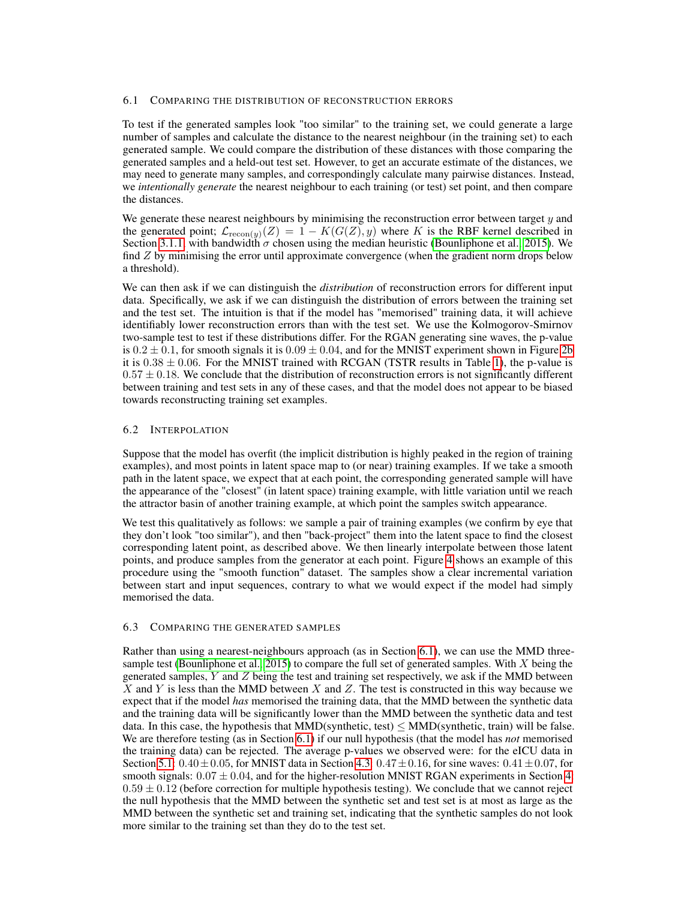#### <span id="page-8-0"></span>6.1 COMPARING THE DISTRIBUTION OF RECONSTRUCTION ERRORS

To test if the generated samples look "too similar" to the training set, we could generate a large number of samples and calculate the distance to the nearest neighbour (in the training set) to each generated sample. We could compare the distribution of these distances with those comparing the generated samples and a held-out test set. However, to get an accurate estimate of the distances, we may need to generate many samples, and correspondingly calculate many pairwise distances. Instead, we *intentionally generate* the nearest neighbour to each training (or test) set point, and then compare the distances.

We generate these nearest neighbours by minimising the reconstruction error between target  $y$  and the generated point;  $\mathcal{L}_{recon(y)}(Z) = 1 - K(G(Z), y)$  where K is the RBF kernel described in Section [3.1.1,](#page-3-1) with bandwidth  $\sigma$  chosen using the median heuristic [\(Bounliphone et al., 2015\)](#page-10-6). We find  $Z$  by minimising the error until approximate convergence (when the gradient norm drops below a threshold).

We can then ask if we can distinguish the *distribution* of reconstruction errors for different input data. Specifically, we ask if we can distinguish the distribution of errors between the training set and the test set. The intuition is that if the model has "memorised" training data, it will achieve identifiably lower reconstruction errors than with the test set. We use the Kolmogorov-Smirnov two-sample test to test if these distributions differ. For the RGAN generating sine waves, the p-value is  $0.2 \pm 0.1$ , for smooth signals it is  $0.09 \pm 0.04$ , and for the MNIST experiment shown in Figure [2b](#page-5-0) it is  $0.38 \pm 0.06$ . For the MNIST trained with RCGAN (TSTR results in Table [1\)](#page-5-1), the p-value is  $0.57 \pm 0.18$ . We conclude that the distribution of reconstruction errors is not significantly different between training and test sets in any of these cases, and that the model does not appear to be biased towards reconstructing training set examples.

#### 6.2 INTERPOLATION

Suppose that the model has overfit (the implicit distribution is highly peaked in the region of training examples), and most points in latent space map to (or near) training examples. If we take a smooth path in the latent space, we expect that at each point, the corresponding generated sample will have the appearance of the "closest" (in latent space) training example, with little variation until we reach the attractor basin of another training example, at which point the samples switch appearance.

We test this qualitatively as follows: we sample a pair of training examples (we confirm by eye that they don't look "too similar"), and then "back-project" them into the latent space to find the closest corresponding latent point, as described above. We then linearly interpolate between those latent points, and produce samples from the generator at each point. Figure [4](#page-6-0) shows an example of this procedure using the "smooth function" dataset. The samples show a clear incremental variation between start and input sequences, contrary to what we would expect if the model had simply memorised the data.

## 6.3 COMPARING THE GENERATED SAMPLES

Rather than using a nearest-neighbours approach (as in Section [6.1\)](#page-8-0), we can use the MMD three-sample test [\(Bounliphone et al., 2015\)](#page-10-6) to compare the full set of generated samples. With  $X$  being the generated samples,  $Y$  and  $Z$  being the test and training set respectively, we ask if the MMD between X and Y is less than the MMD between X and Z. The test is constructed in this way because we expect that if the model *has* memorised the training data, that the MMD between the synthetic data and the training data will be significantly lower than the MMD between the synthetic data and test data. In this case, the hypothesis that  $MMD(synthetic, test) \leq MMD(synthetic, train)$  will be false. We are therefore testing (as in Section [6.1\)](#page-8-0) if our null hypothesis (that the model has *not* memorised the training data) can be rejected. The average p-values we observed were: for the eICU data in Section [5.1:](#page-7-1)  $0.40 \pm 0.05$ , for MNIST data in Section [4.3:](#page-5-2)  $0.47 \pm 0.16$ , for sine waves:  $0.41 \pm 0.07$ , for smooth signals:  $0.07 \pm 0.04$ , and for the higher-resolution MNIST RGAN experiments in Section [4:](#page-4-1)  $0.59 \pm 0.12$  (before correction for multiple hypothesis testing). We conclude that we cannot reject the null hypothesis that the MMD between the synthetic set and test set is at most as large as the MMD between the synthetic set and training set, indicating that the synthetic samples do not look more similar to the training set than they do to the test set.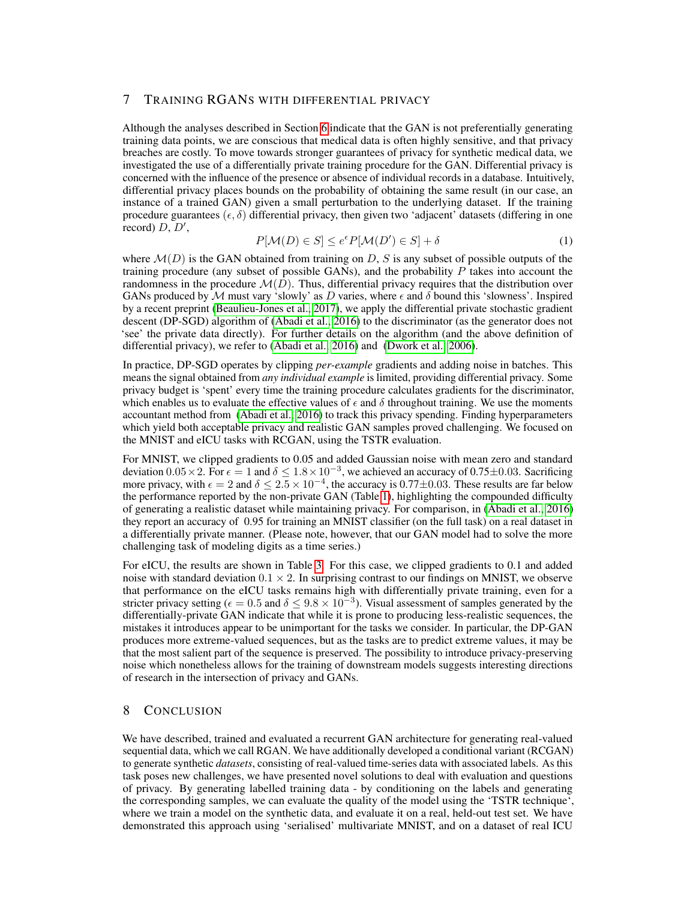# 7 TRAINING RGANS WITH DIFFERENTIAL PRIVACY

Although the analyses described in Section [6](#page-7-2) indicate that the GAN is not preferentially generating training data points, we are conscious that medical data is often highly sensitive, and that privacy breaches are costly. To move towards stronger guarantees of privacy for synthetic medical data, we investigated the use of a differentially private training procedure for the GAN. Differential privacy is concerned with the influence of the presence or absence of individual records in a database. Intuitively, differential privacy places bounds on the probability of obtaining the same result (in our case, an instance of a trained GAN) given a small perturbation to the underlying dataset. If the training procedure guarantees  $(\epsilon, \delta)$  differential privacy, then given two 'adjacent' datasets (differing in one record)  $D, D',$ 

$$
P[\mathcal{M}(D) \in S] \le e^{\epsilon} P[\mathcal{M}(D') \in S] + \delta \tag{1}
$$

where  $\mathcal{M}(D)$  is the GAN obtained from training on D, S is any subset of possible outputs of the training procedure (any subset of possible GANs), and the probability  $P$  takes into account the randomness in the procedure  $\mathcal{M}(D)$ . Thus, differential privacy requires that the distribution over GANs produced by M must vary 'slowly' as D varies, where  $\epsilon$  and  $\delta$  bound this 'slowness'. Inspired by a recent preprint [\(Beaulieu-Jones et al., 2017\)](#page-10-7), we apply the differential private stochastic gradient descent (DP-SGD) algorithm of [\(Abadi et al., 2016\)](#page-10-1) to the discriminator (as the generator does not 'see' the private data directly). For further details on the algorithm (and the above definition of differential privacy), we refer to [\(Abadi et al., 2016\)](#page-10-1) and [\(Dwork et al., 2006\)](#page-11-18).

In practice, DP-SGD operates by clipping *per-example* gradients and adding noise in batches. This means the signal obtained from *any individual example* is limited, providing differential privacy. Some privacy budget is 'spent' every time the training procedure calculates gradients for the discriminator, which enables us to evaluate the effective values of  $\epsilon$  and  $\delta$  throughout training. We use the moments accountant method from [\(Abadi et al., 2016\)](#page-10-1) to track this privacy spending. Finding hyperparameters which yield both acceptable privacy and realistic GAN samples proved challenging. We focused on the MNIST and eICU tasks with RCGAN, using the TSTR evaluation.

For MNIST, we clipped gradients to 0.05 and added Gaussian noise with mean zero and standard deviation  $0.05 \times 2$ . For  $\epsilon = 1$  and  $\delta \leq 1.8 \times 10^{-3}$ , we achieved an accuracy of 0.75±0.03. Sacrificing more privacy, with  $\epsilon = 2$  and  $\delta \leq 2.5 \times 10^{-4}$ , the accuracy is 0.77 $\pm$ 0.03. These results are far below the performance reported by the non-private GAN (Table [1\)](#page-5-1), highlighting the compounded difficulty of generating a realistic dataset while maintaining privacy. For comparison, in [\(Abadi et al., 2016\)](#page-10-1) they report an accuracy of 0.95 for training an MNIST classifier (on the full task) on a real dataset in a differentially private manner. (Please note, however, that our GAN model had to solve the more challenging task of modeling digits as a time series.)

For eICU, the results are shown in Table [3.](#page-10-8) For this case, we clipped gradients to 0.1 and added noise with standard deviation  $0.1 \times 2$ . In surprising contrast to our findings on MNIST, we observe that performance on the eICU tasks remains high with differentially private training, even for a stricter privacy setting ( $\epsilon = 0.5$  and  $\delta \leq 9.8 \times 10^{-3}$ ). Visual assessment of samples generated by the differentially-private GAN indicate that while it is prone to producing less-realistic sequences, the mistakes it introduces appear to be unimportant for the tasks we consider. In particular, the DP-GAN produces more extreme-valued sequences, but as the tasks are to predict extreme values, it may be that the most salient part of the sequence is preserved. The possibility to introduce privacy-preserving noise which nonetheless allows for the training of downstream models suggests interesting directions of research in the intersection of privacy and GANs.

## 8 CONCLUSION

We have described, trained and evaluated a recurrent GAN architecture for generating real-valued sequential data, which we call RGAN. We have additionally developed a conditional variant (RCGAN) to generate synthetic *datasets*, consisting of real-valued time-series data with associated labels. As this task poses new challenges, we have presented novel solutions to deal with evaluation and questions of privacy. By generating labelled training data - by conditioning on the labels and generating the corresponding samples, we can evaluate the quality of the model using the 'TSTR technique', where we train a model on the synthetic data, and evaluate it on a real, held-out test set. We have demonstrated this approach using 'serialised' multivariate MNIST, and on a dataset of real ICU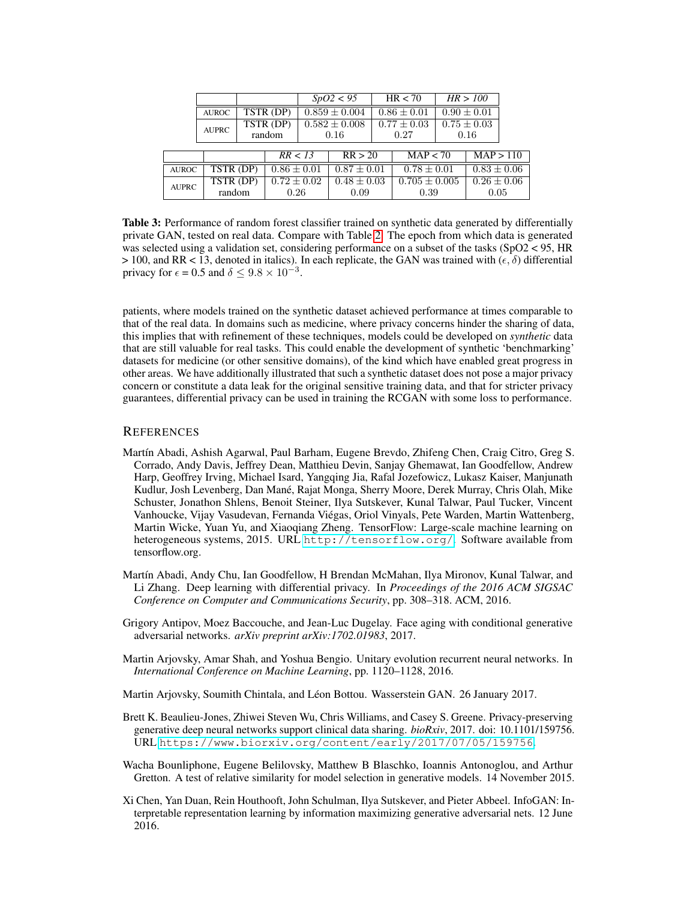<span id="page-10-8"></span>

|              |                                     |                                |                 |                   | SpO2 < 95         |                 | HR < 70                      |                 | HR > 100                      |  |
|--------------|-------------------------------------|--------------------------------|-----------------|-------------------|-------------------|-----------------|------------------------------|-----------------|-------------------------------|--|
|              | <b>AUROC</b>                        | TSTR (DP)                      |                 | $0.859 \pm 0.004$ |                   | $0.86 \pm 0.01$ |                              | $0.90 \pm 0.01$ |                               |  |
|              | TSTR (DP)<br><b>AUPRC</b><br>random |                                |                 |                   | $0.582 \pm 0.008$ | $0.77 \pm 0.03$ |                              | $0.75 \pm 0.03$ |                               |  |
|              |                                     |                                |                 | 0.16              |                   | 0.27            |                              | 0.16            |                               |  |
|              |                                     |                                | RR < 13         |                   | RR > 20           |                 | $\overline{\text{MAP}}$ < 70 |                 | $\overline{\text{MAP}} > 110$ |  |
| <b>AUROC</b> | $TSTR$ (DP)                         |                                | $0.86 \pm 0.01$ |                   | $0.87 \pm 0.01$   |                 | $0.78 \pm 0.01$              |                 | $0.83 \pm 0.06$               |  |
| <b>AUPRC</b> |                                     | $TSTR$ (DP)<br>$0.72 \pm 0.02$ |                 | $0.48 \pm 0.03$   |                   |                 | $0.705 \pm 0.005$            |                 | $0.26 \pm 0.06$               |  |
|              | random                              |                                | 0.26            |                   | 0.09              |                 | 0.39                         |                 | 0.05                          |  |

Table 3: Performance of random forest classifier trained on synthetic data generated by differentially private GAN, tested on real data. Compare with Table [2.](#page-7-0) The epoch from which data is generated was selected using a validation set, considering performance on a subset of the tasks (SpO2 < 95, HR  $> 100$ , and RR < 13, denoted in italics). In each replicate, the GAN was trained with ( $\epsilon$ ,  $\delta$ ) differential privacy for  $\epsilon = 0.5$  and  $\delta \leq 9.8 \times 10^{-3}$ .

patients, where models trained on the synthetic dataset achieved performance at times comparable to that of the real data. In domains such as medicine, where privacy concerns hinder the sharing of data, this implies that with refinement of these techniques, models could be developed on *synthetic* data that are still valuable for real tasks. This could enable the development of synthetic 'benchmarking' datasets for medicine (or other sensitive domains), of the kind which have enabled great progress in other areas. We have additionally illustrated that such a synthetic dataset does not pose a major privacy concern or constitute a data leak for the original sensitive training data, and that for stricter privacy guarantees, differential privacy can be used in training the RCGAN with some loss to performance.

#### **REFERENCES**

- <span id="page-10-4"></span>Martín Abadi, Ashish Agarwal, Paul Barham, Eugene Brevdo, Zhifeng Chen, Craig Citro, Greg S. Corrado, Andy Davis, Jeffrey Dean, Matthieu Devin, Sanjay Ghemawat, Ian Goodfellow, Andrew Harp, Geoffrey Irving, Michael Isard, Yangqing Jia, Rafal Jozefowicz, Lukasz Kaiser, Manjunath Kudlur, Josh Levenberg, Dan Mané, Rajat Monga, Sherry Moore, Derek Murray, Chris Olah, Mike Schuster, Jonathon Shlens, Benoit Steiner, Ilya Sutskever, Kunal Talwar, Paul Tucker, Vincent Vanhoucke, Vijay Vasudevan, Fernanda Viégas, Oriol Vinyals, Pete Warden, Martin Wattenberg, Martin Wicke, Yuan Yu, and Xiaoqiang Zheng. TensorFlow: Large-scale machine learning on heterogeneous systems, 2015. URL <http://tensorflow.org/>. Software available from tensorflow.org.
- <span id="page-10-1"></span>Martín Abadi, Andy Chu, Ian Goodfellow, H Brendan McMahan, Ilya Mironov, Kunal Talwar, and Li Zhang. Deep learning with differential privacy. In *Proceedings of the 2016 ACM SIGSAC Conference on Computer and Communications Security*, pp. 308–318. ACM, 2016.
- <span id="page-10-0"></span>Grigory Antipov, Moez Baccouche, and Jean-Luc Dugelay. Face aging with conditional generative adversarial networks. *arXiv preprint arXiv:1702.01983*, 2017.
- <span id="page-10-3"></span>Martin Arjovsky, Amar Shah, and Yoshua Bengio. Unitary evolution recurrent neural networks. In *International Conference on Machine Learning*, pp. 1120–1128, 2016.
- <span id="page-10-2"></span>Martin Arjovsky, Soumith Chintala, and Léon Bottou. Wasserstein GAN. 26 January 2017.
- <span id="page-10-7"></span>Brett K. Beaulieu-Jones, Zhiwei Steven Wu, Chris Williams, and Casey S. Greene. Privacy-preserving generative deep neural networks support clinical data sharing. *bioRxiv*, 2017. doi: 10.1101/159756. URL <https://www.biorxiv.org/content/early/2017/07/05/159756>.
- <span id="page-10-6"></span>Wacha Bounliphone, Eugene Belilovsky, Matthew B Blaschko, Ioannis Antonoglou, and Arthur Gretton. A test of relative similarity for model selection in generative models. 14 November 2015.
- <span id="page-10-5"></span>Xi Chen, Yan Duan, Rein Houthooft, John Schulman, Ilya Sutskever, and Pieter Abbeel. InfoGAN: Interpretable representation learning by information maximizing generative adversarial nets. 12 June 2016.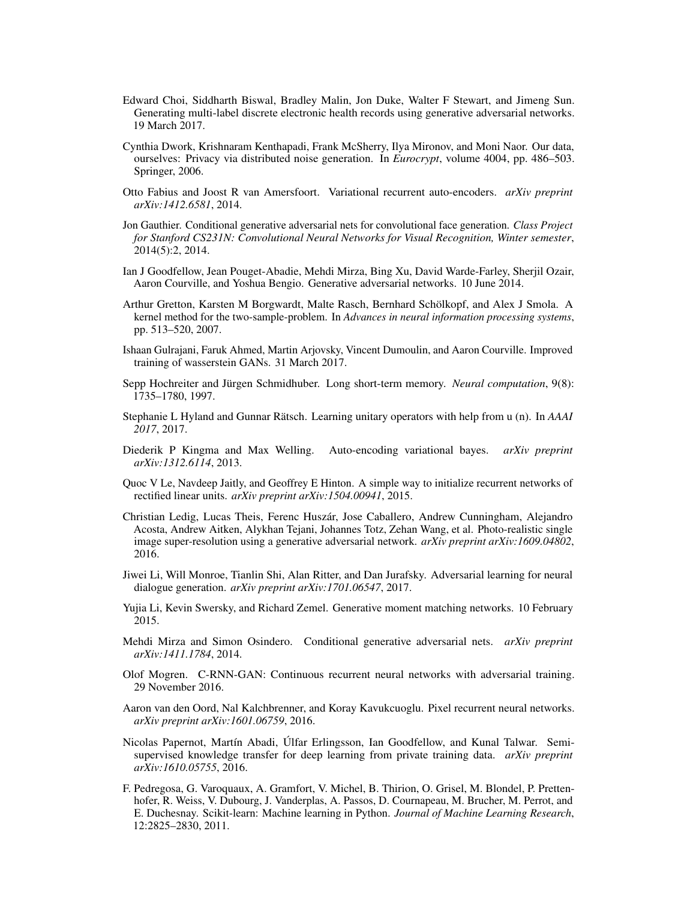- <span id="page-11-3"></span>Edward Choi, Siddharth Biswal, Bradley Malin, Jon Duke, Walter F Stewart, and Jimeng Sun. Generating multi-label discrete electronic health records using generative adversarial networks. 19 March 2017.
- <span id="page-11-18"></span>Cynthia Dwork, Krishnaram Kenthapadi, Frank McSherry, Ilya Mironov, and Moni Naor. Our data, ourselves: Privacy via distributed noise generation. In *Eurocrypt*, volume 4004, pp. 486–503. Springer, 2006.
- <span id="page-11-15"></span>Otto Fabius and Joost R van Amersfoort. Variational recurrent auto-encoders. *arXiv preprint arXiv:1412.6581*, 2014.
- <span id="page-11-1"></span>Jon Gauthier. Conditional generative adversarial nets for convolutional face generation. *Class Project for Stanford CS231N: Convolutional Neural Networks for Visual Recognition, Winter semester*, 2014(5):2, 2014.
- <span id="page-11-2"></span>Ian J Goodfellow, Jean Pouget-Abadie, Mehdi Mirza, Bing Xu, David Warde-Farley, Sherjil Ozair, Aaron Courville, and Yoshua Bengio. Generative adversarial networks. 10 June 2014.
- <span id="page-11-12"></span>Arthur Gretton, Karsten M Borgwardt, Malte Rasch, Bernhard Schölkopf, and Alex J Smola. A kernel method for the two-sample-problem. In *Advances in neural information processing systems*, pp. 513–520, 2007.
- <span id="page-11-9"></span>Ishaan Gulrajani, Faruk Ahmed, Martin Arjovsky, Vincent Dumoulin, and Aaron Courville. Improved training of wasserstein GANs. 31 March 2017.
- <span id="page-11-8"></span>Sepp Hochreiter and Jürgen Schmidhuber. Long short-term memory. *Neural computation*, 9(8): 1735–1780, 1997.
- <span id="page-11-10"></span>Stephanie L Hyland and Gunnar Rätsch. Learning unitary operators with help from u (n). In *AAAI 2017*, 2017.
- <span id="page-11-14"></span>Diederik P Kingma and Max Welling. Auto-encoding variational bayes. *arXiv preprint arXiv:1312.6114*, 2013.
- <span id="page-11-17"></span>Quoc V Le, Navdeep Jaitly, and Geoffrey E Hinton. A simple way to initialize recurrent networks of rectified linear units. *arXiv preprint arXiv:1504.00941*, 2015.
- <span id="page-11-0"></span>Christian Ledig, Lucas Theis, Ferenc Huszár, Jose Caballero, Andrew Cunningham, Alejandro Acosta, Andrew Aitken, Alykhan Tejani, Johannes Totz, Zehan Wang, et al. Photo-realistic single image super-resolution using a generative adversarial network. *arXiv preprint arXiv:1609.04802*, 2016.
- <span id="page-11-6"></span>Jiwei Li, Will Monroe, Tianlin Shi, Alan Ritter, and Dan Jurafsky. Adversarial learning for neural dialogue generation. *arXiv preprint arXiv:1701.06547*, 2017.
- <span id="page-11-13"></span>Yujia Li, Kevin Swersky, and Richard Zemel. Generative moment matching networks. 10 February 2015.
- <span id="page-11-5"></span>Mehdi Mirza and Simon Osindero. Conditional generative adversarial nets. *arXiv preprint arXiv:1411.1784*, 2014.
- <span id="page-11-4"></span>Olof Mogren. C-RNN-GAN: Continuous recurrent neural networks with adversarial training. 29 November 2016.
- <span id="page-11-16"></span>Aaron van den Oord, Nal Kalchbrenner, and Koray Kavukcuoglu. Pixel recurrent neural networks. *arXiv preprint arXiv:1601.06759*, 2016.
- <span id="page-11-7"></span>Nicolas Papernot, Martín Abadi, Úlfar Erlingsson, Ian Goodfellow, and Kunal Talwar. Semisupervised knowledge transfer for deep learning from private training data. *arXiv preprint arXiv:1610.05755*, 2016.
- <span id="page-11-11"></span>F. Pedregosa, G. Varoquaux, A. Gramfort, V. Michel, B. Thirion, O. Grisel, M. Blondel, P. Prettenhofer, R. Weiss, V. Dubourg, J. Vanderplas, A. Passos, D. Cournapeau, M. Brucher, M. Perrot, and E. Duchesnay. Scikit-learn: Machine learning in Python. *Journal of Machine Learning Research*, 12:2825–2830, 2011.